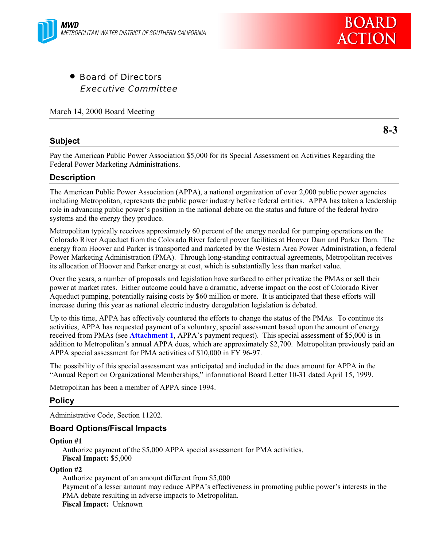

• Board of Directors Executive Committee

March 14, 2000 Board Meeting

## **Subject**

**8-3**

Pay the American Public Power Association \$5,000 for its Special Assessment on Activities Regarding the Federal Power Marketing Administrations.

## **Description**

The American Public Power Association (APPA), a national organization of over 2,000 public power agencies including Metropolitan, represents the public power industry before federal entities. APPA has taken a leadership role in advancing public power's position in the national debate on the status and future of the federal hydro systems and the energy they produce.

Metropolitan typically receives approximately 60 percent of the energy needed for pumping operations on the Colorado River Aqueduct from the Colorado River federal power facilities at Hoover Dam and Parker Dam. The energy from Hoover and Parker is transported and marketed by the Western Area Power Administration, a federal Power Marketing Administration (PMA). Through long-standing contractual agreements, Metropolitan receives its allocation of Hoover and Parker energy at cost, which is substantially less than market value.

Over the years, a number of proposals and legislation have surfaced to either privatize the PMAs or sell their power at market rates. Either outcome could have a dramatic, adverse impact on the cost of Colorado River Aqueduct pumping, potentially raising costs by \$60 million or more. It is anticipated that these efforts will increase during this year as national electric industry deregulation legislation is debated.

Up to this time, APPA has effectively countered the efforts to change the status of the PMAs. To continue its activities, APPA has requested payment of a voluntary, special assessment based upon the amount of energy received from PMAs (see **Attachment 1**, APPA's payment request). This special assessment of \$5,000 is in addition to Metropolitan's annual APPA dues, which are approximately \$2,700. Metropolitan previously paid an APPA special assessment for PMA activities of \$10,000 in FY 96-97.

The possibility of this special assessment was anticipated and included in the dues amount for APPA in the "Annual Report on Organizational Memberships," informational Board Letter 10-31 dated April 15, 1999.

Metropolitan has been a member of APPA since 1994.

## **Policy**

Administrative Code, Section 11202.

## **Board Options/Fiscal Impacts**

#### **Option #1**

Authorize payment of the \$5,000 APPA special assessment for PMA activities. **Fiscal Impact:** \$5,000

#### **Option #2**

Authorize payment of an amount different from \$5,000 Payment of a lesser amount may reduce APPA's effectiveness in promoting public power's interests in the PMA debate resulting in adverse impacts to Metropolitan. **Fiscal Impact:** Unknown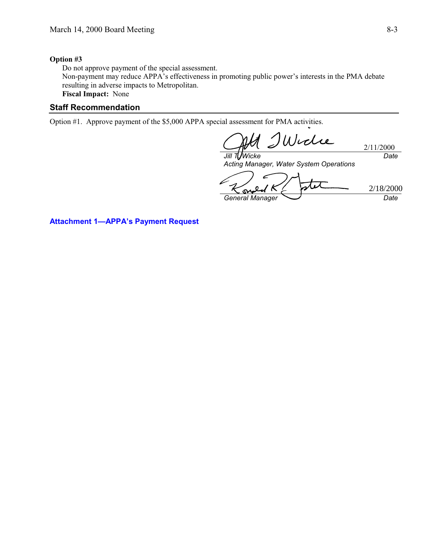#### **Option #3**

Do not approve payment of the special assessment. Non-payment may reduce APPA's effectiveness in promoting public power's interests in the PMA debate resulting in adverse impacts to Metropolitan. **Fiscal Impact:** None

## **Staff Recommendation**

Option #1. Approve payment of the \$5,000 APPA special assessment for PMA activities.

Widie 2/11/2000 *Jill T. Wicke Date*

*Acting Manager, Water System Operations* 2/18/2000 $\mathsf{S}\mathsf{V}$ *General Manager Date*

**Attachment 1—APPA's Payment Request**